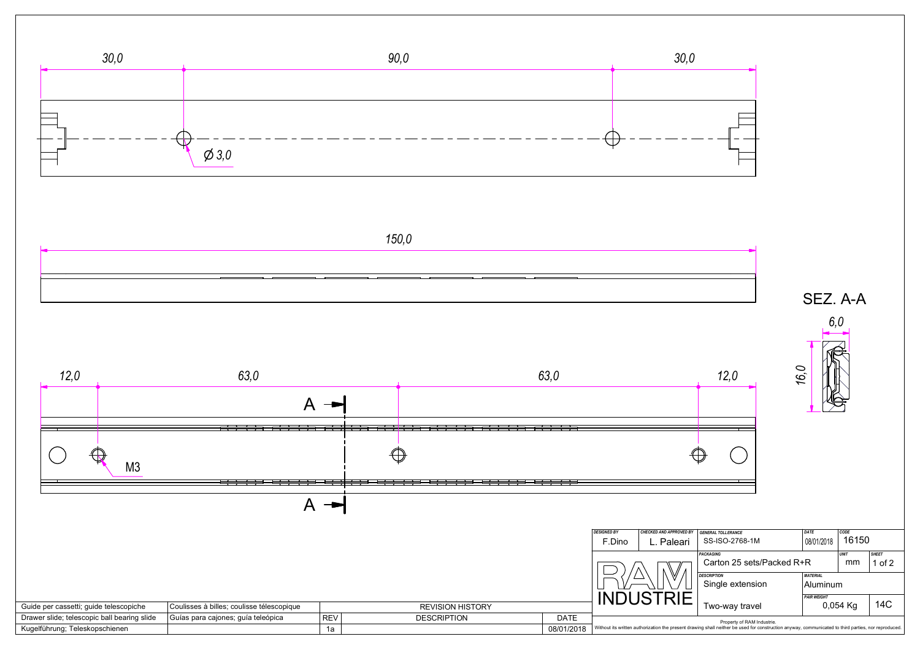